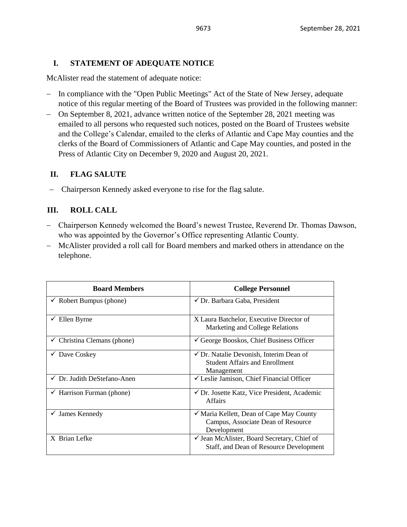### **I. STATEMENT OF ADEQUATE NOTICE**

McAlister read the statement of adequate notice:

- − In compliance with the "Open Public Meetings" Act of the State of New Jersey, adequate notice of this regular meeting of the Board of Trustees was provided in the following manner:
- − On September 8, 2021, advance written notice of the September 28, 2021 meeting was emailed to all persons who requested such notices, posted on the Board of Trustees website and the College's Calendar, emailed to the clerks of Atlantic and Cape May counties and the clerks of the Board of Commissioners of Atlantic and Cape May counties, and posted in the Press of Atlantic City on December 9, 2020 and August 20, 2021.

### **II. FLAG SALUTE**

− Chairperson Kennedy asked everyone to rise for the flag salute.

## **III. ROLL CALL**

- − Chairperson Kennedy welcomed the Board's newest Trustee, Reverend Dr. Thomas Dawson, who was appointed by the Governor's Office representing Atlantic County.
- − McAlister provided a roll call for Board members and marked others in attendance on the telephone.

| <b>Board Members</b>                   | <b>College Personnel</b>                                                                                  |
|----------------------------------------|-----------------------------------------------------------------------------------------------------------|
| Robert Bumpus (phone)                  | $\checkmark$ Dr. Barbara Gaba, President                                                                  |
| Ellen Byrne<br>✓                       | X Laura Batchelor, Executive Director of<br>Marketing and College Relations                               |
| $\checkmark$ Christina Clemans (phone) | $\checkmark$ George Booskos, Chief Business Officer                                                       |
| $\checkmark$ Dave Coskey               | $\checkmark$ Dr. Natalie Devonish, Interim Dean of<br><b>Student Affairs and Enrollment</b><br>Management |
| √ Dr. Judith DeStefano-Anen            | $\checkmark$ Leslie Jamison, Chief Financial Officer                                                      |
| $\checkmark$ Harrison Furman (phone)   | ✔ Dr. Josette Katz, Vice President, Academic<br><b>Affairs</b>                                            |
| $\checkmark$ James Kennedy             | ✔ Maria Kellett, Dean of Cape May County<br>Campus, Associate Dean of Resource<br>Development             |
| X Brian Lefke                          | $\checkmark$ Jean McAlister, Board Secretary, Chief of<br>Staff, and Dean of Resource Development         |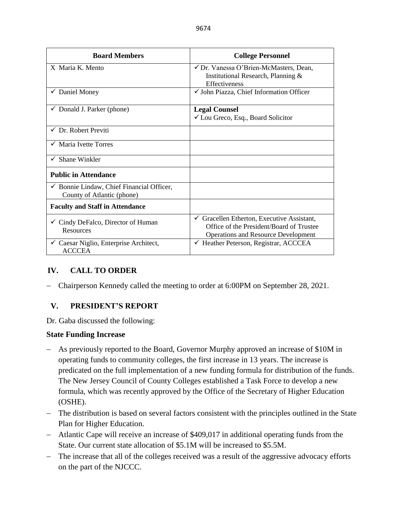| <b>Board Members</b>                                                               | <b>College Personnel</b>                                                                                                                        |
|------------------------------------------------------------------------------------|-------------------------------------------------------------------------------------------------------------------------------------------------|
| X Maria K. Mento                                                                   | √ Dr. Vanessa O'Brien-McMasters, Dean,<br>Institutional Research, Planning &<br><b>Effectiveness</b>                                            |
| $\checkmark$ Daniel Money                                                          | √ John Piazza, Chief Information Officer                                                                                                        |
| $\checkmark$ Donald J. Parker (phone)                                              | <b>Legal Counsel</b><br>$\checkmark$ Lou Greco, Esq., Board Solicitor                                                                           |
| $\checkmark$ Dr. Robert Previti                                                    |                                                                                                                                                 |
| $\checkmark$ Maria Ivette Torres                                                   |                                                                                                                                                 |
| $\checkmark$ Shane Winkler                                                         |                                                                                                                                                 |
| <b>Public in Attendance</b>                                                        |                                                                                                                                                 |
| $\checkmark$ Bonnie Lindaw, Chief Financial Officer,<br>County of Atlantic (phone) |                                                                                                                                                 |
| <b>Faculty and Staff in Attendance</b>                                             |                                                                                                                                                 |
| $\checkmark$ Cindy DeFalco, Director of Human<br><b>Resources</b>                  | $\checkmark$ Gracellen Etherton, Executive Assistant,<br>Office of the President/Board of Trustee<br><b>Operations and Resource Development</b> |
| $\checkmark$ Caesar Niglio, Enterprise Architect,<br><b>ACCCEA</b>                 | $\checkmark$ Heather Peterson, Registrar, ACCCEA                                                                                                |

# **IV. CALL TO ORDER**

− Chairperson Kennedy called the meeting to order at 6:00PM on September 28, 2021.

# **V. PRESIDENT'S REPORT**

Dr. Gaba discussed the following:

## **State Funding Increase**

- − As previously reported to the Board, Governor Murphy approved an increase of \$10M in operating funds to community colleges, the first increase in 13 years. The increase is predicated on the full implementation of a new funding formula for distribution of the funds. The New Jersey Council of County Colleges established a Task Force to develop a new formula, which was recently approved by the Office of the Secretary of Higher Education (OSHE).
- − The distribution is based on several factors consistent with the principles outlined in the State Plan for Higher Education.
- − Atlantic Cape will receive an increase of \$409,017 in additional operating funds from the State. Our current state allocation of \$5.1M will be increased to \$5.5M.
- − The increase that all of the colleges received was a result of the aggressive advocacy efforts on the part of the NJCCC.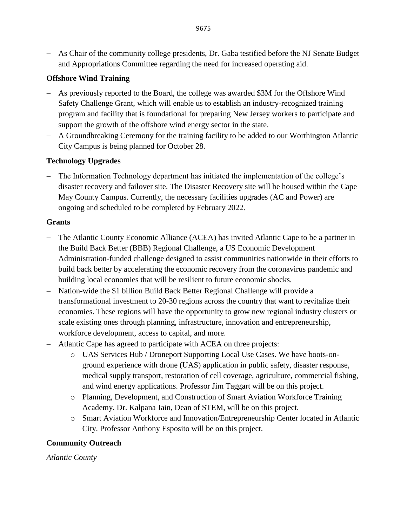− As Chair of the community college presidents, Dr. Gaba testified before the NJ Senate Budget and Appropriations Committee regarding the need for increased operating aid.

### **Offshore Wind Training**

- − As previously reported to the Board, the college was awarded \$3M for the Offshore Wind Safety Challenge Grant, which will enable us to establish an industry-recognized training program and facility that is foundational for preparing New Jersey workers to participate and support the growth of the offshore wind energy sector in the state.
- − A Groundbreaking Ceremony for the training facility to be added to our Worthington Atlantic City Campus is being planned for October 28.

### **Technology Upgrades**

− The Information Technology department has initiated the implementation of the college's disaster recovery and failover site. The Disaster Recovery site will be housed within the Cape May County Campus. Currently, the necessary facilities upgrades (AC and Power) are ongoing and scheduled to be completed by February 2022.

#### **Grants**

- − The Atlantic County Economic Alliance (ACEA) has invited Atlantic Cape to be a partner in the Build Back Better (BBB) Regional Challenge, a US Economic Development Administration-funded challenge designed to assist communities nationwide in their efforts to build back better by accelerating the economic recovery from the coronavirus pandemic and building local economies that will be resilient to future economic shocks.
- − Nation-wide the \$1 billion Build Back Better Regional Challenge will provide a transformational investment to 20-30 regions across the country that want to revitalize their economies. These regions will have the opportunity to grow new regional industry clusters or scale existing ones through planning, infrastructure, innovation and entrepreneurship, workforce development, access to capital, and more.
- − Atlantic Cape has agreed to participate with ACEA on three projects:
	- o UAS Services Hub / Droneport Supporting Local Use Cases. We have boots-onground experience with drone (UAS) application in public safety, disaster response, medical supply transport, restoration of cell coverage, agriculture, commercial fishing, and wind energy applications. Professor Jim Taggart will be on this project.
	- o Planning, Development, and Construction of Smart Aviation Workforce Training Academy. Dr. Kalpana Jain, Dean of STEM, will be on this project.
	- o Smart Aviation Workforce and Innovation/Entrepreneurship Center located in Atlantic City. Professor Anthony Esposito will be on this project.

## **Community Outreach**

*Atlantic County*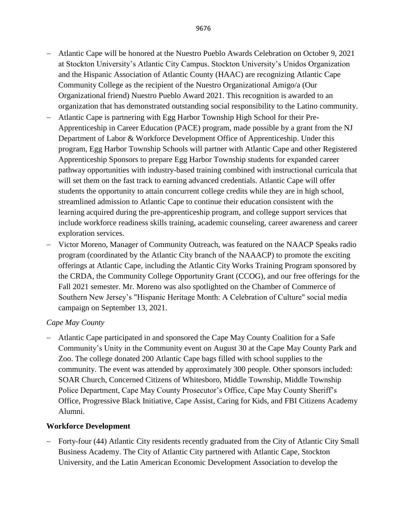- − Atlantic Cape will be honored at the Nuestro Pueblo Awards Celebration on October 9, 2021 at Stockton University's Atlantic City Campus. Stockton University's Unidos Organization and the Hispanic Association of Atlantic County (HAAC) are recognizing Atlantic Cape Community College as the recipient of the Nuestro Organizational Amigo/a (Our Organizational friend) Nuestro Pueblo Award 2021. This recognition is awarded to an organization that has demonstrated outstanding social responsibility to the Latino community.
- − Atlantic Cape is partnering with Egg Harbor Township High School for their Pre-Apprenticeship in Career Education (PACE) program, made possible by a grant from the NJ Department of Labor & Workforce Development Office of Apprenticeship. Under this program, Egg Harbor Township Schools will partner with Atlantic Cape and other Registered Apprenticeship Sponsors to prepare Egg Harbor Township students for expanded career pathway opportunities with industry-based training combined with instructional curricula that will set them on the fast track to earning advanced credentials. Atlantic Cape will offer students the opportunity to attain concurrent college credits while they are in high school, streamlined admission to Atlantic Cape to continue their education consistent with the learning acquired during the pre-apprenticeship program, and college support services that include workforce readiness skills training, academic counseling, career awareness and career exploration services.
- − Victor Moreno, Manager of Community Outreach, was featured on the NAACP Speaks radio program (coordinated by the Atlantic City branch of the NAAACP) to promote the exciting offerings at Atlantic Cape, including the Atlantic City Works Training Program sponsored by the CRDA, the Community College Opportunity Grant (CCOG), and our free offerings for the Fall 2021 semester. Mr. Moreno was also spotlighted on the Chamber of Commerce of Southern New Jersey's "Hispanic Heritage Month: A Celebration of Culture" social media campaign on September 13, 2021.

#### *Cape May County*

− Atlantic Cape participated in and sponsored the Cape May County Coalition for a Safe Community's Unity in the Community event on August 30 at the Cape May County Park and Zoo. The college donated 200 Atlantic Cape bags filled with school supplies to the community. The event was attended by approximately 300 people. Other sponsors included: SOAR Church, Concerned Citizens of Whitesboro, Middle Township, Middle Township Police Department, Cape May County Prosecutor's Office, Cape May County Sheriff's Office, Progressive Black Initiative, Cape Assist, Caring for Kids, and FBI Citizens Academy Alumni.

## **Workforce Development**

− Forty-four (44) Atlantic City residents recently graduated from the City of Atlantic City Small Business Academy. The City of Atlantic City partnered with Atlantic Cape, Stockton University, and the Latin American Economic Development Association to develop the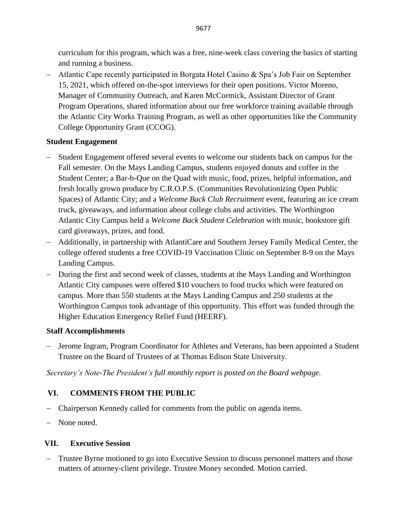curriculum for this program, which was a free, nine-week class covering the basics of starting and running a business.

− Atlantic Cape recently participated in Borgata Hotel Casino & Spa's Job Fair on September 15, 2021, which offered on-the-spot interviews for their open positions. Victor Moreno, Manager of Community Outreach, and Karen McCormick, Assistant Director of Grant Program Operations, shared information about our free workforce training available through the Atlantic City Works Training Program, as well as other opportunities like the Community College Opportunity Grant (CCOG).

# **Student Engagement**

- − Student Engagement offered several events to welcome our students back on campus for the Fall semester. On the Mays Landing Campus, students enjoyed donuts and coffee in the Student Center; a Bar-b-Que on the Quad with music, food, prizes, helpful information, and fresh locally grown produce by C.R.O.P.S. (Communities Revolutionizing Open Public Spaces) of Atlantic City; and a *Welcome Back Club Recruitment* event, featuring an ice cream truck, giveaways, and information about college clubs and activities. The Worthington Atlantic City Campus held a *Welcome Back Student Celebration* with music, bookstore gift card giveaways, prizes, and food.
- − Additionally, in partnership with AtlantiCare and Southern Jersey Family Medical Center, the college offered students a free COVID-19 Vaccination Clinic on September 8-9 on the Mays Landing Campus.
- − During the first and second week of classes, students at the Mays Landing and Worthington Atlantic City campuses were offered \$10 vouchers to food trucks which were featured on campus. More than 550 students at the Mays Landing Campus and 250 students at the Worthington Campus took advantage of this opportunity. This effort was funded through the Higher Education Emergency Relief Fund (HEERF).

# **Staff Accomplishments**

− Jerome Ingram, Program Coordinator for Athletes and Veterans, has been appointed a Student Trustee on the Board of Trustees of at Thomas Edison State University.

*Secretary's Note-The President's full monthly report is posted on the Board webpage.*

# **VI. COMMENTS FROM THE PUBLIC**

- − Chairperson Kennedy called for comments from the public on agenda items.
- − None noted.

# **VII. Executive Session**

− Trustee Byrne motioned to go into Executive Session to discuss personnel matters and those matters of attorney-client privilege. Trustee Money seconded. Motion carried.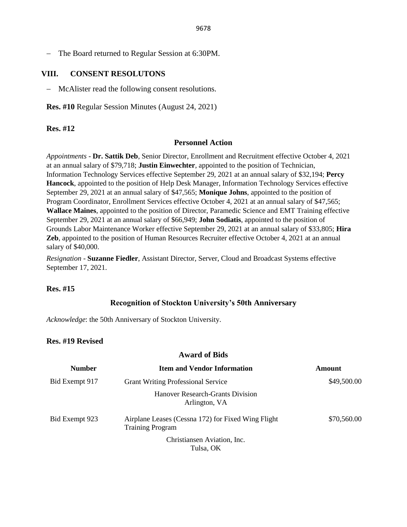− The Board returned to Regular Session at 6:30PM.

#### **VIII. CONSENT RESOLUTONS**

− McAlister read the following consent resolutions.

**Res. #10** Regular Session Minutes (August 24, 2021)

#### **Res. #12**

#### **Personnel Action**

*Appointments* - **Dr. Sattik Deb**, Senior Director, Enrollment and Recruitment effective October 4, 2021 at an annual salary of \$79,718; **Justin Einwechter**, appointed to the position of Technician, Information Technology Services effective September 29, 2021 at an annual salary of \$32,194; **Percy Hancock**, appointed to the position of Help Desk Manager, Information Technology Services effective September 29, 2021 at an annual salary of \$47,565; **Monique Johns**, appointed to the position of Program Coordinator, Enrollment Services effective October 4, 2021 at an annual salary of \$47,565; **Wallace Maines**, appointed to the position of Director, Paramedic Science and EMT Training effective September 29, 2021 at an annual salary of \$66,949; **John Sodiatis**, appointed to the position of Grounds Labor Maintenance Worker effective September 29, 2021 at an annual salary of \$33,805; **Hira**  Zeb, appointed to the position of Human Resources Recruiter effective October 4, 2021 at an annual salary of \$40,000.

*Resignation* - **Suzanne Fiedler**, Assistant Director, Server, Cloud and Broadcast Systems effective September 17, 2021.

#### **Res. #15**

#### **Recognition of Stockton University's 50th Anniversary**

*Acknowledge*: the 50th Anniversary of Stockton University.

#### **Res. #19 Revised**

#### **Award of Bids**

| <b>Number</b>  | <b>Item and Vendor Information</b>                                            | <b>Amount</b> |
|----------------|-------------------------------------------------------------------------------|---------------|
| Bid Exempt 917 | <b>Grant Writing Professional Service</b>                                     | \$49,500.00   |
|                | Hanover Research-Grants Division<br>Arlington, VA                             |               |
| Bid Exempt 923 | Airplane Leases (Cessna 172) for Fixed Wing Flight<br><b>Training Program</b> | \$70,560.00   |
|                | Christiansen Aviation, Inc.<br>Tulsa, OK                                      |               |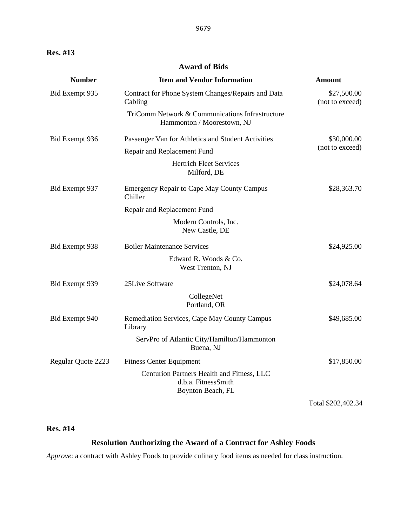## **Award of Bids**

| <b>Number</b>      | <b>Item and Vendor Information</b>                                                     | <b>Amount</b>                  |
|--------------------|----------------------------------------------------------------------------------------|--------------------------------|
| Bid Exempt 935     | Contract for Phone System Changes/Repairs and Data<br>Cabling                          | \$27,500.00<br>(not to exceed) |
|                    | TriComm Network & Communications Infrastructure<br>Hammonton / Moorestown, NJ          |                                |
| Bid Exempt 936     | Passenger Van for Athletics and Student Activities                                     | \$30,000.00                    |
|                    | Repair and Replacement Fund                                                            | (not to exceed)                |
|                    | <b>Hertrich Fleet Services</b><br>Milford, DE                                          |                                |
| Bid Exempt 937     | <b>Emergency Repair to Cape May County Campus</b><br>Chiller                           | \$28,363.70                    |
|                    | Repair and Replacement Fund                                                            |                                |
|                    | Modern Controls, Inc.<br>New Castle, DE                                                |                                |
| Bid Exempt 938     | <b>Boiler Maintenance Services</b>                                                     | \$24,925.00                    |
|                    | Edward R. Woods & Co.<br>West Trenton, NJ                                              |                                |
| Bid Exempt 939     | 25Live Software                                                                        | \$24,078.64                    |
|                    | CollegeNet<br>Portland, OR                                                             |                                |
| Bid Exempt 940     | Remediation Services, Cape May County Campus<br>Library                                | \$49,685.00                    |
|                    | ServPro of Atlantic City/Hamilton/Hammonton<br>Buena, NJ                               |                                |
| Regular Quote 2223 | <b>Fitness Center Equipment</b>                                                        | \$17,850.00                    |
|                    | Centurion Partners Health and Fitness, LLC<br>d.b.a. FitnessSmith<br>Boynton Beach, FL |                                |

Total \$202,402.34

## **Res. #14**

### **Resolution Authorizing the Award of a Contract for Ashley Foods**

*Approve*: a contract with Ashley Foods to provide culinary food items as needed for class instruction.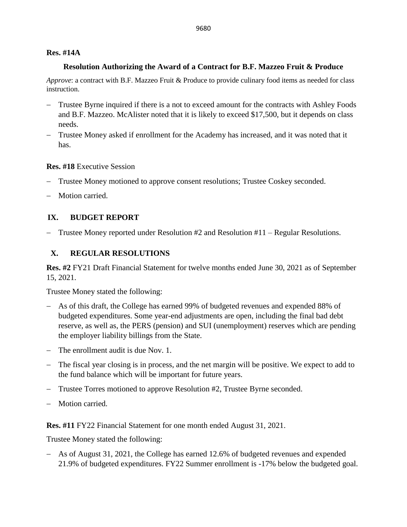### **Res. #14A**

### **Resolution Authorizing the Award of a Contract for B.F. Mazzeo Fruit & Produce**

*Approve*: a contract with B.F. Mazzeo Fruit & Produce to provide culinary food items as needed for class instruction.

- Trustee Byrne inquired if there is a not to exceed amount for the contracts with Ashley Foods and B.F. Mazzeo. McAlister noted that it is likely to exceed \$17,500, but it depends on class needs.
- − Trustee Money asked if enrollment for the Academy has increased, and it was noted that it has.

## **Res. #18** Executive Session

- − Trustee Money motioned to approve consent resolutions; Trustee Coskey seconded.
- Motion carried.

# **IX. BUDGET REPORT**

− Trustee Money reported under Resolution #2 and Resolution #11 – Regular Resolutions.

# **X. REGULAR RESOLUTIONS**

**Res. #2** FY21 Draft Financial Statement for twelve months ended June 30, 2021 as of September 15, 2021.

Trustee Money stated the following:

- − As of this draft, the College has earned 99% of budgeted revenues and expended 88% of budgeted expenditures. Some year-end adjustments are open, including the final bad debt reserve, as well as, the PERS (pension) and SUI (unemployment) reserves which are pending the employer liability billings from the State.
- − The enrollment audit is due Nov. 1.
- − The fiscal year closing is in process, and the net margin will be positive. We expect to add to the fund balance which will be important for future years.
- − Trustee Torres motioned to approve Resolution #2, Trustee Byrne seconded.
- Motion carried.

**Res. #11** FY22 Financial Statement for one month ended August 31, 2021.

Trustee Money stated the following:

− As of August 31, 2021, the College has earned 12.6% of budgeted revenues and expended 21.9% of budgeted expenditures. FY22 Summer enrollment is -17% below the budgeted goal.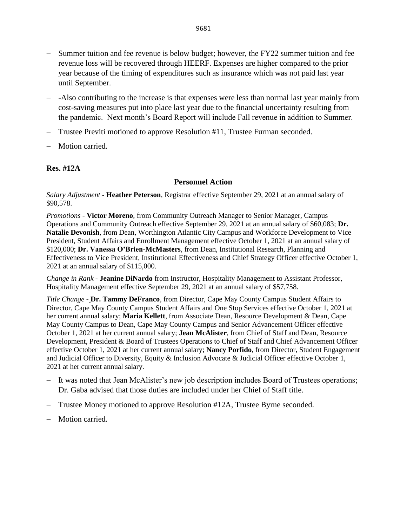- − Summer tuition and fee revenue is below budget; however, the FY22 summer tuition and fee revenue loss will be recovered through HEERF. Expenses are higher compared to the prior year because of the timing of expenditures such as insurance which was not paid last year until September.
- − -Also contributing to the increase is that expenses were less than normal last year mainly from cost-saving measures put into place last year due to the financial uncertainty resulting from the pandemic. Next month's Board Report will include Fall revenue in addition to Summer.
- − Trustee Previti motioned to approve Resolution #11, Trustee Furman seconded.
- − Motion carried.

### **Res. #12A**

#### **Personnel Action**

*Salary Adjustment -* **Heather Peterson**, Registrar effective September 29, 2021 at an annual salary of \$90,578.

*Promotions -* **Victor Moreno**, from Community Outreach Manager to Senior Manager, Campus Operations and Community Outreach effective September 29, 2021 at an annual salary of \$60,083; **Dr. Natalie Devonish**, from Dean, Worthington Atlantic City Campus and Workforce Development to Vice President, Student Affairs and Enrollment Management effective October 1, 2021 at an annual salary of \$120,000; **Dr. Vanessa O'Brien-McMasters**, from Dean, Institutional Research, Planning and Effectiveness to Vice President, Institutional Effectiveness and Chief Strategy Officer effective October 1, 2021 at an annual salary of \$115,000.

*Change in Rank -* **Jeanine DiNardo** from Instructor, Hospitality Management to Assistant Professor, Hospitality Management effective September 29, 2021 at an annual salary of \$57,758.

*Title Change -* **Dr. Tammy DeFranco**, from Director, Cape May County Campus Student Affairs to Director, Cape May County Campus Student Affairs and One Stop Services effective October 1, 2021 at her current annual salary; **Maria Kellett**, from Associate Dean, Resource Development & Dean, Cape May County Campus to Dean, Cape May County Campus and Senior Advancement Officer effective October 1, 2021 at her current annual salary; **Jean McAlister**, from Chief of Staff and Dean, Resource Development, President & Board of Trustees Operations to Chief of Staff and Chief Advancement Officer effective October 1, 2021 at her current annual salary; **Nancy Porfido**, from Director, Student Engagement and Judicial Officer to Diversity, Equity & Inclusion Advocate & Judicial Officer effective October 1, 2021 at her current annual salary.

- − It was noted that Jean McAlister's new job description includes Board of Trustees operations; Dr. Gaba advised that those duties are included under her Chief of Staff title.
- − Trustee Money motioned to approve Resolution #12A, Trustee Byrne seconded.
- − Motion carried.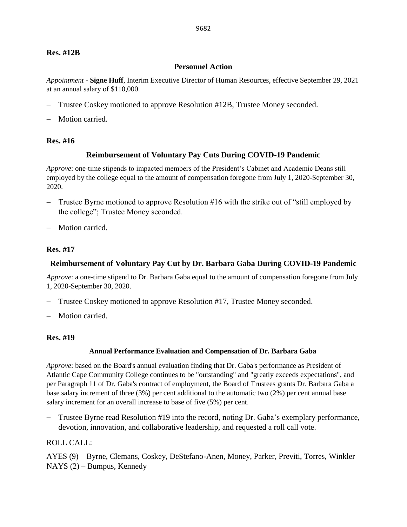#### **Res. #12B**

#### **Personnel Action**

*Appointment -* **Signe Huff**, Interim Executive Director of Human Resources, effective September 29, 2021 at an annual salary of \$110,000.

- − Trustee Coskey motioned to approve Resolution #12B, Trustee Money seconded.
- Motion carried.

#### **Res. #16**

#### **Reimbursement of Voluntary Pay Cuts During COVID-19 Pandemic**

*Approve*: one-time stipends to impacted members of the President's Cabinet and Academic Deans still employed by the college equal to the amount of compensation foregone from July 1, 2020-September 30, 2020.

- − Trustee Byrne motioned to approve Resolution #16 with the strike out of "still employed by the college"; Trustee Money seconded.
- − Motion carried.

#### **Res. #17**

#### **Reimbursement of Voluntary Pay Cut by Dr. Barbara Gaba During COVID-19 Pandemic**

*Approve*: a one-time stipend to Dr. Barbara Gaba equal to the amount of compensation foregone from July 1, 2020-September 30, 2020.

- − Trustee Coskey motioned to approve Resolution #17, Trustee Money seconded.
- − Motion carried.

#### **Res. #19**

#### **Annual Performance Evaluation and Compensation of Dr. Barbara Gaba**

*Approve*: based on the Board's annual evaluation finding that Dr. Gaba's performance as President of Atlantic Cape Community College continues to be "outstanding" and "greatly exceeds expectations", and per Paragraph 11 of Dr. Gaba's contract of employment, the Board of Trustees grants Dr. Barbara Gaba a base salary increment of three (3%) per cent additional to the automatic two (2%) per cent annual base salary increment for an overall increase to base of five (5%) per cent.

− Trustee Byrne read Resolution #19 into the record, noting Dr. Gaba's exemplary performance, devotion, innovation, and collaborative leadership, and requested a roll call vote.

#### ROLL CALL:

AYES (9) – Byrne, Clemans, Coskey, DeStefano-Anen, Money, Parker, Previti, Torres, Winkler NAYS (2) – Bumpus, Kennedy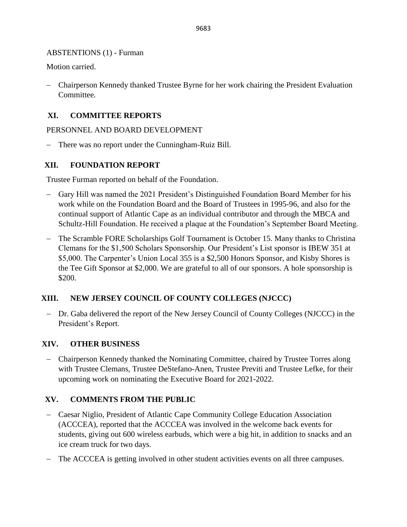### ABSTENTIONS (1) - Furman

Motion carried.

− Chairperson Kennedy thanked Trustee Byrne for her work chairing the President Evaluation Committee.

# **XI. COMMITTEE REPORTS**

### PERSONNEL AND BOARD DEVELOPMENT

− There was no report under the Cunningham-Ruiz Bill.

## **XII. FOUNDATION REPORT**

Trustee Furman reported on behalf of the Foundation.

- − Gary Hill was named the 2021 President's Distinguished Foundation Board Member for his work while on the Foundation Board and the Board of Trustees in 1995-96, and also for the continual support of Atlantic Cape as an individual contributor and through the MBCA and Schultz-Hill Foundation. He received a plaque at the Foundation's September Board Meeting.
- The Scramble FORE Scholarships Golf Tournament is October 15. Many thanks to Christina Clemans for the \$1,500 Scholars Sponsorship. Our President's List sponsor is IBEW 351 at \$5,000. The Carpenter's Union Local 355 is a \$2,500 Honors Sponsor, and Kisby Shores is the Tee Gift Sponsor at \$2,000. We are grateful to all of our sponsors. A hole sponsorship is \$200.

# **XIII. NEW JERSEY COUNCIL OF COUNTY COLLEGES (NJCCC)**

− Dr. Gaba delivered the report of the New Jersey Council of County Colleges (NJCCC) in the President's Report.

## **XIV. OTHER BUSINESS**

− Chairperson Kennedy thanked the Nominating Committee, chaired by Trustee Torres along with Trustee Clemans, Trustee DeStefano-Anen, Trustee Previti and Trustee Lefke, for their upcoming work on nominating the Executive Board for 2021-2022.

## **XV. COMMENTS FROM THE PUBLIC**

- − Caesar Niglio, President of Atlantic Cape Community College Education Association (ACCCEA), reported that the ACCCEA was involved in the welcome back events for students, giving out 600 wireless earbuds, which were a big hit, in addition to snacks and an ice cream truck for two days.
- − The ACCCEA is getting involved in other student activities events on all three campuses.